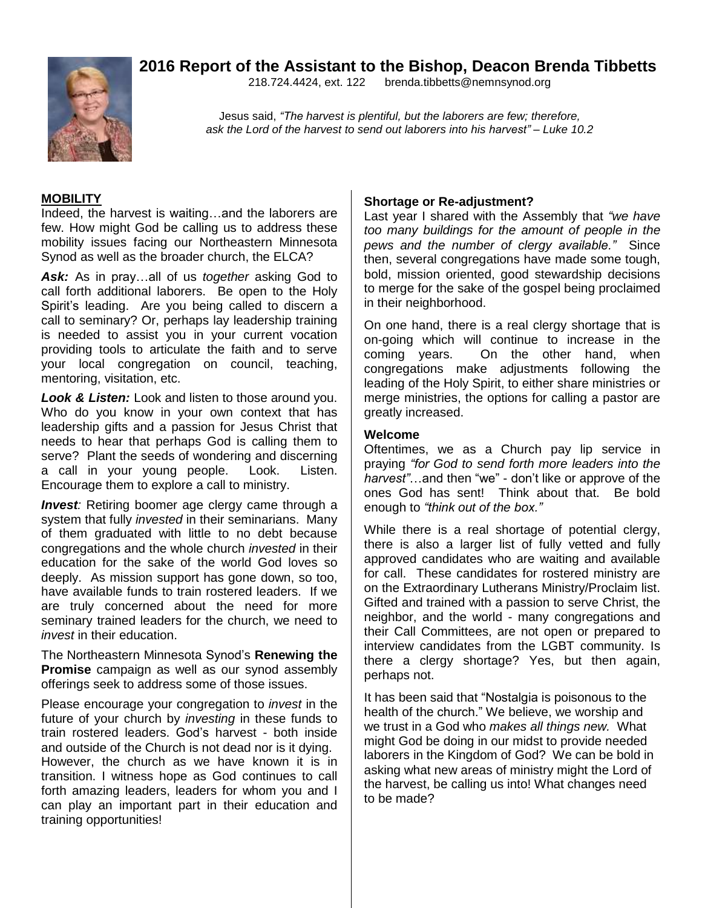# **2016 Report of the Assistant to the Bishop, Deacon Brenda Tibbetts**



218.724.4424, ext. 122 [brenda.tibbetts@nemnsynod.org](mailto:brenda.tibbetts@nemnsynod.org)

Jesus said, *"The harvest is plentiful, but the laborers are few; therefore, ask the Lord of the harvest to send out laborers into his harvest" – Luke 10.2*

#### **MOBILITY**

Indeed, the harvest is waiting…and the laborers are few. How might God be calling us to address these mobility issues facing our Northeastern Minnesota Synod as well as the broader church, the ELCA?

*Ask:* As in pray…all of us *together* asking God to call forth additional laborers. Be open to the Holy Spirit's leading. Are you being called to discern a call to seminary? Or, perhaps lay leadership training is needed to assist you in your current vocation providing tools to articulate the faith and to serve your local congregation on council, teaching, mentoring, visitation, etc.

*Look & Listen:* Look and listen to those around you. Who do you know in your own context that has leadership gifts and a passion for Jesus Christ that needs to hear that perhaps God is calling them to serve? Plant the seeds of wondering and discerning a call in your young people. Look. Listen. Encourage them to explore a call to ministry.

*Invest:* Retiring boomer age clergy came through a system that fully *invested* in their seminarians. Many of them graduated with little to no debt because congregations and the whole church *invested* in their education for the sake of the world God loves so deeply. As mission support has gone down, so too, have available funds to train rostered leaders. If we are truly concerned about the need for more seminary trained leaders for the church, we need to *invest* in their education.

The Northeastern Minnesota Synod's **Renewing the Promise** campaign as well as our synod assembly offerings seek to address some of those issues.

Please encourage your congregation to *invest* in the future of your church by *investing* in these funds to train rostered leaders. God's harvest - both inside and outside of the Church is not dead nor is it dying. However, the church as we have known it is in transition. I witness hope as God continues to call forth amazing leaders, leaders for whom you and I can play an important part in their education and training opportunities!

#### **Shortage or Re-adjustment?**

Last year I shared with the Assembly that *"we have too many buildings for the amount of people in the pews and the number of clergy available."* Since then, several congregations have made some tough, bold, mission oriented, good stewardship decisions to merge for the sake of the gospel being proclaimed in their neighborhood.

On one hand, there is a real clergy shortage that is on-going which will continue to increase in the coming years. On the other hand, when congregations make adjustments following the leading of the Holy Spirit, to either share ministries or merge ministries, the options for calling a pastor are greatly increased.

### **Welcome**

Oftentimes, we as a Church pay lip service in praying *"for God to send forth more leaders into the harvest"*…and then "we" - don't like or approve of the ones God has sent! Think about that. Be bold enough to *"think out of the box."*

While there is a real shortage of potential clergy, there is also a larger list of fully vetted and fully approved candidates who are waiting and available for call. These candidates for rostered ministry are on the Extraordinary Lutherans Ministry/Proclaim list. Gifted and trained with a passion to serve Christ, the neighbor, and the world - many congregations and their Call Committees, are not open or prepared to interview candidates from the LGBT community. Is there a clergy shortage? Yes, but then again, perhaps not.

It has been said that "Nostalgia is poisonous to the health of the church." We believe, we worship and we trust in a God who *makes all things new.* What might God be doing in our midst to provide needed laborers in the Kingdom of God? We can be bold in asking what new areas of ministry might the Lord of the harvest, be calling us into! What changes need to be made?